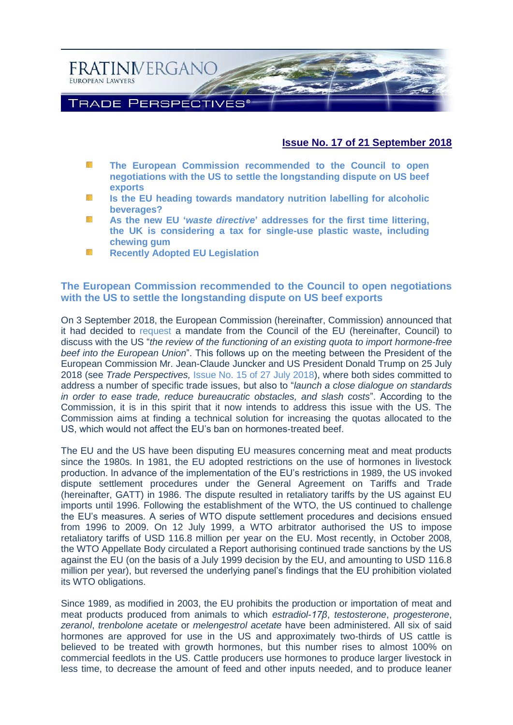

# **Issue No. 17 of 21 September 2018**

- 櫾 **[The European Commission recommended to the Council to open](#page-0-0)  negotiations [with the US to settle the longstanding dispute on US beef](#page-0-0)  [exports](#page-0-0)**
- **[Is the EU heading towards mandatory nutrition labelling for alcoholic](#page-3-0)**  SS. **[beverages?](#page-3-0)**
- 55 **As the new EU '***waste directive***' [addresses for the first time littering,](#page-6-0)  [the UK is considering a tax for single-use plastic waste, including](#page-6-0)  [chewing gum](#page-6-0)**
- NS. **Recently [Adopted EU Legislation](#page-9-0)**

# <span id="page-0-0"></span>**The European Commission recommended to the Council to open negotiations with the US to settle the longstanding dispute on US beef exports**

On 3 September 2018, the European Commission (hereinafter, Commission) announced that it had decided to [request](https://ec.europa.eu/info/sites/info/files/food-farming-fisheries/animals_and_animal_products/documents/recommendation-council-decision-us-beef-hormone_en.pdf) a mandate from the Council of the EU (hereinafter, Council) to discuss with the US "*the review of the functioning of an existing quota to import hormone-free beef into the European Union*". This follows up on the meeting between the President of the European Commission Mr. Jean-Claude Juncker and US President Donald Trump on 25 July 2018 (see *Trade Perspectives,* [Issue No. 15 of 27 July 2018\)](http://www.fratinivergano.eu/en/trade-perspectives/issue-number-15-27th-july-2018/#_Debate_on_WTO), where both sides committed to address a number of specific trade issues, but also to "*launch a close dialogue on standards in order to ease trade, reduce bureaucratic obstacles, and slash costs*". According to the Commission, it is in this spirit that it now intends to address this issue with the US. The Commission aims at finding a technical solution for increasing the quotas allocated to the US, which would not affect the EU's ban on hormones-treated beef.

The EU and the US have been disputing EU measures concerning meat and meat products since the 1980s. In 1981, the EU adopted restrictions on the use of hormones in livestock production. In advance of the implementation of the EU's restrictions in 1989, the US invoked dispute settlement procedures under the General Agreement on Tariffs and Trade (hereinafter, GATT) in 1986. The dispute resulted in retaliatory tariffs by the US against EU imports until 1996. Following the establishment of the WTO, the US continued to challenge the EU's measures. A series of WTO dispute settlement procedures and decisions ensued from 1996 to 2009. On 12 July 1999, a WTO arbitrator authorised the US to impose retaliatory tariffs of USD 116.8 million per year on the EU. Most recently, in October 2008, the WTO Appellate Body circulated a Report authorising continued trade sanctions by the US against the EU (on the basis of a July 1999 decision by the EU, and amounting to USD 116.8 million per year), but reversed the underlying panel's findings that the EU prohibition violated its WTO obligations.

Since 1989, as modified in 2003, the EU prohibits the production or importation of meat and meat products produced from animals to which *estradiol-17β*, *testosterone*, *progesterone*, *zeranol*, *trenbolone acetate* or *melengestrol acetate* have been administered. All six of said hormones are approved for use in the US and approximately two-thirds of US cattle is believed to be treated with growth hormones, but this number rises to almost 100% on commercial feedlots in the US. Cattle producers use hormones to produce larger livestock in less time, to decrease the amount of feed and other inputs needed, and to produce leaner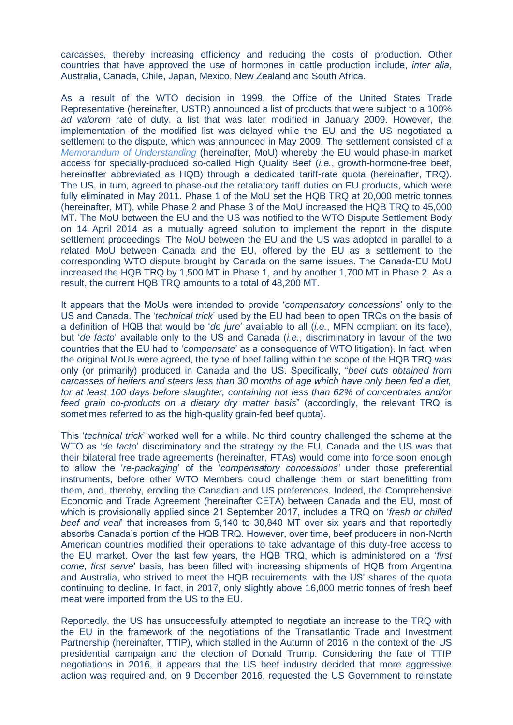carcasses, thereby increasing efficiency and reducing the costs of production. Other countries that have approved the use of hormones in cattle production include, *inter alia*, Australia, Canada, Chile, Japan, Mexico, New Zealand and South Africa.

As a result of the WTO decision in 1999, the Office of the United States Trade Representative (hereinafter, USTR) announced a list of products that were subject to a 100% *ad valorem* rate of duty, a list that was later modified in January 2009. However, the implementation of the modified list was delayed while the EU and the US negotiated a settlement to the dispute, which was announced in May 2009. The settlement consisted of a *[Memorandum of Understanding](https://eur-lex.europa.eu/LexUriServ/LexUriServ.do?uri=OJ:L:2014:027:0002:0006:en:PDF)* (hereinafter, MoU) whereby the EU would phase-in market access for specially-produced so-called High Quality Beef (*i.e.*, growth-hormone-free beef, hereinafter abbreviated as HQB) through a dedicated tariff-rate quota (hereinafter, TRQ). The US, in turn, agreed to phase-out the retaliatory tariff duties on EU products, which were fully eliminated in May 2011. Phase 1 of the MoU set the HQB TRQ at 20,000 metric tonnes (hereinafter, MT), while Phase 2 and Phase 3 of the MoU increased the HQB TRQ to 45,000 MT. The MoU between the EU and the US was notified to the WTO Dispute Settlement Body on 14 April 2014 as a mutually agreed solution to implement the report in the dispute settlement proceedings. The MoU between the EU and the US was adopted in parallel to a related MoU between Canada and the EU, offered by the EU as a settlement to the corresponding WTO dispute brought by Canada on the same issues. The Canada-EU MoU increased the HQB TRQ by 1,500 MT in Phase 1, and by another 1,700 MT in Phase 2. As a result, the current HQB TRQ amounts to a total of 48,200 MT.

It appears that the MoUs were intended to provide '*compensatory concessions*' only to the US and Canada. The '*technical trick*' used by the EU had been to open TRQs on the basis of a definition of HQB that would be '*de jure*' available to all (*i.e.*, MFN compliant on its face), but '*de facto*' available only to the US and Canada (*i.e.*, discriminatory in favour of the two countries that the EU had to '*compensate*' as a consequence of WTO litigation). In fact, when the original MoUs were agreed, the type of beef falling within the scope of the HQB TRQ was only (or primarily) produced in Canada and the US. Specifically, "*beef cuts obtained from carcasses of heifers and steers less than 30 months of age which have only been fed a diet, for at least 100 days before slaughter, containing not less than 62% of concentrates and/or feed grain co-products on a dietary dry matter basis*" (accordingly, the relevant TRQ is sometimes referred to as the high-quality grain-fed beef quota).

This '*technical trick*' worked well for a while. No third country challenged the scheme at the WTO as '*de facto*' discriminatory and the strategy by the EU, Canada and the US was that their bilateral free trade agreements (hereinafter, FTAs) would come into force soon enough to allow the '*re-packaging*' of the '*compensatory concessions'* under those preferential instruments, before other WTO Members could challenge them or start benefitting from them, and, thereby, eroding the Canadian and US preferences. Indeed, the Comprehensive Economic and Trade Agreement (hereinafter CETA) between Canada and the EU, most of which is provisionally applied since 21 September 2017, includes a TRQ on '*fresh or chilled beef and veal*' that increases from 5,140 to 30,840 MT over six years and that reportedly absorbs Canada's portion of the HQB TRQ. However, over time, beef producers in non-North American countries modified their operations to take advantage of this duty-free access to the EU market. Over the last few years, the HQB TRQ, which is administered on a '*first come, first serve*' basis, has been filled with increasing shipments of HQB from Argentina and Australia, who strived to meet the HQB requirements, with the US' shares of the quota continuing to decline. In fact, in 2017, only slightly above 16,000 metric tonnes of fresh beef meat were imported from the US to the EU.

Reportedly, the US has unsuccessfully attempted to negotiate an increase to the TRQ with the EU in the framework of the negotiations of the Transatlantic Trade and Investment Partnership (hereinafter, TTIP), which stalled in the Autumn of 2016 in the context of the US presidential campaign and the election of Donald Trump. Considering the fate of TTIP negotiations in 2016, it appears that the US beef industry decided that more aggressive action was required and, on 9 December 2016, requested the US Government to reinstate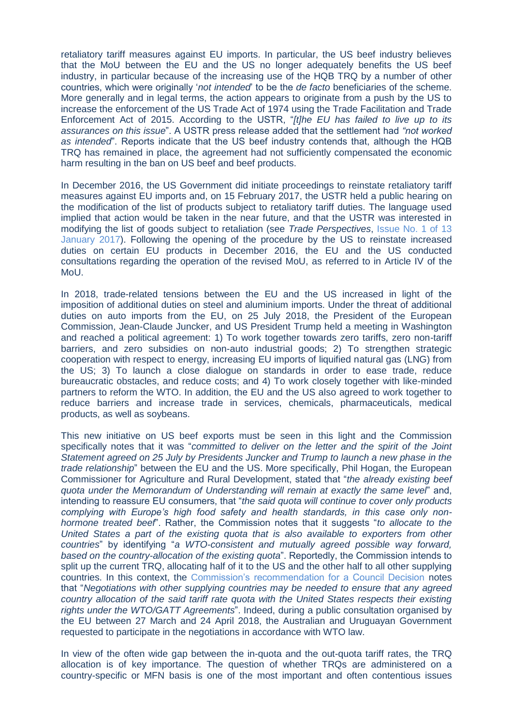retaliatory tariff measures against EU imports. In particular, the US beef industry believes that the MoU between the EU and the US no longer adequately benefits the US beef industry, in particular because of the increasing use of the HQB TRQ by a number of other countries, which were originally '*not intended*' to be the *de facto* beneficiaries of the scheme. More generally and in legal terms, the action appears to originate from a push by the US to increase the enforcement of the US Trade Act of 1974 using the Trade Facilitation and Trade Enforcement Act of 2015. According to the USTR, "*[t]he EU has failed to live up to its assurances on this issue*". A USTR press release added that the settlement had *"not worked as intended*". Reports indicate that the US beef industry contends that, although the HQB TRQ has remained in place, the agreement had not sufficiently compensated the economic harm resulting in the ban on US beef and beef products.

In December 2016, the US Government did initiate proceedings to reinstate retaliatory tariff measures against EU imports and, on 15 February 2017, the USTR held a public hearing on the modification of the list of products subject to retaliatory tariff duties. The language used implied that action would be taken in the near future, and that the USTR was interested in modifying the list of goods subject to retaliation (see *Trade Perspectives*, [Issue No. 1 of 13](http://www.fratinivergano.eu/en/issue-number-1-13th-january-2017/#_The_US_may)  [January 2017\)](http://www.fratinivergano.eu/en/issue-number-1-13th-january-2017/#_The_US_may). Following the opening of the procedure by the US to reinstate increased duties on certain EU products in December 2016, the EU and the US conducted consultations regarding the operation of the revised MoU, as referred to in Article IV of the MoU.

In 2018, trade-related tensions between the EU and the US increased in light of the imposition of additional duties on steel and aluminium imports. Under the threat of additional duties on auto imports from the EU, on 25 July 2018, the President of the European Commission, Jean-Claude Juncker, and US President Trump held a meeting in Washington and reached a political agreement: 1) To work together towards zero tariffs, zero non-tariff barriers, and zero subsidies on non-auto industrial goods; 2) To strengthen strategic cooperation with respect to energy, increasing EU imports of liquified natural gas (LNG) from the US; 3) To launch a close dialogue on standards in order to ease trade, reduce bureaucratic obstacles, and reduce costs; and 4) To work closely together with like-minded partners to reform the WTO. In addition, the EU and the US also agreed to work together to reduce barriers and increase trade in services, chemicals, pharmaceuticals, medical products, as well as soybeans.

This new initiative on US beef exports must be seen in this light and the Commission specifically notes that it was "*committed to deliver on the letter and the spirit of the Joint Statement agreed on 25 July by Presidents Juncker and Trump to launch a new phase in the trade relationship*" between the EU and the US. More specifically, Phil Hogan, the European Commissioner for Agriculture and Rural Development, stated that "*the already existing beef quota under the Memorandum of Understanding will remain at exactly the same level*" and, intending to reassure EU consumers, that "*the said quota will continue to cover only products complying with Europe's high food safety and health standards, in this case only nonhormone treated beef*". Rather, the Commission notes that it suggests "*to allocate to the United States a part of the existing quota that is also available to exporters from other countries*" by identifying "*a WTO-consistent and mutually agreed possible way forward, based on the country-allocation of the existing quota*". Reportedly, the Commission intends to split up the current TRQ, allocating half of it to the US and the other half to all other supplying countries. In this context, the [Commission's recommendation for a Council Decision](https://ec.europa.eu/info/sites/info/files/food-farming-fisheries/animals_and_animal_products/documents/recommendation-council-decision-us-beef-hormone_en.pdf) notes that "*Negotiations with other supplying countries may be needed to ensure that any agreed country allocation of the said tariff rate quota with the United States respects their existing rights under the WTO/GATT Agreements*". Indeed, during a public consultation organised by the EU between 27 March and 24 April 2018, the Australian and Uruguayan Government requested to participate in the negotiations in accordance with WTO law.

In view of the often wide gap between the in-quota and the out-quota tariff rates, the TRQ allocation is of key importance. The question of whether TRQs are administered on a country-specific or MFN basis is one of the most important and often contentious issues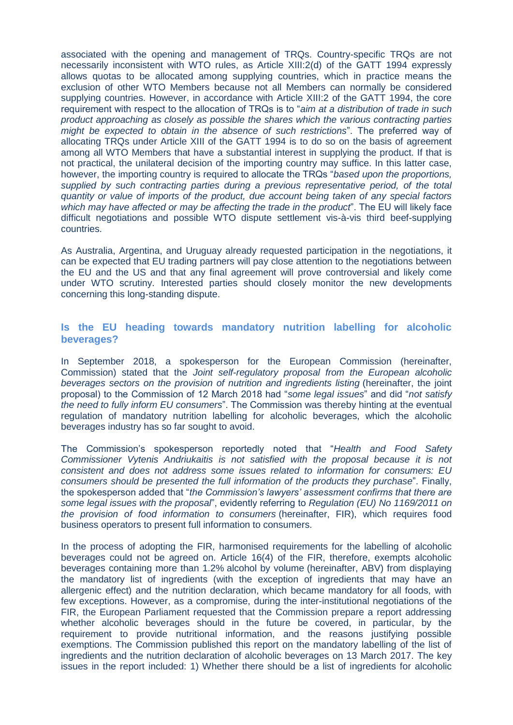associated with the opening and management of TRQs. Country-specific TRQs are not necessarily inconsistent with WTO rules, as Article XIII:2(d) of the GATT 1994 expressly allows quotas to be allocated among supplying countries, which in practice means the exclusion of other WTO Members because not all Members can normally be considered supplying countries. However, in accordance with Article XIII:2 of the GATT 1994, the core requirement with respect to the allocation of TRQs is to "*aim at a distribution of trade in such product approaching as closely as possible the shares which the various contracting parties might be expected to obtain in the absence of such restrictions*". The preferred way of allocating TRQs under Article XIII of the GATT 1994 is to do so on the basis of agreement among all WTO Members that have a substantial interest in supplying the product. If that is not practical, the unilateral decision of the importing country may suffice. In this latter case, however, the importing country is required to allocate the TRQs "*based upon the proportions, supplied by such contracting parties during a previous representative period, of the total quantity or value of imports of the product, due account being taken of any special factors which may have affected or may be affecting the trade in the product*". The EU will likely face difficult negotiations and possible WTO dispute settlement vis-à-vis third beef-supplying countries.

As Australia, Argentina, and Uruguay already requested participation in the negotiations, it can be expected that EU trading partners will pay close attention to the negotiations between the EU and the US and that any final agreement will prove controversial and likely come under WTO scrutiny. Interested parties should closely monitor the new developments concerning this long-standing dispute.

# <span id="page-3-0"></span>**Is the EU heading towards mandatory nutrition labelling for alcoholic beverages?**

In September 2018, a spokesperson for the European Commission (hereinafter, Commission) stated that the *Joint self-regulatory proposal from the European alcoholic beverages sectors on the provision of nutrition and ingredients listing* (hereinafter, the joint proposal) to the Commission of 12 March 2018 had "*some legal issues*" and did "*not satisfy the need to fully inform EU consumers*". The Commission was thereby hinting at the eventual regulation of mandatory nutrition labelling for alcoholic beverages, which the alcoholic beverages industry has so far sought to avoid.

The Commission's spokesperson reportedly noted that "*Health and Food Safety Commissioner Vytenis Andriukaitis is not satisfied with the proposal because it is not consistent and does not address some issues related to information for consumers: EU consumers should be presented the full information of the products they purchase*". Finally, the spokesperson added that "*the Commission's lawyers' assessment confirms that there are some legal issues with the proposal*", evidently referring to *Regulation (EU) No 1169/2011 on the provision of food information to consumers* (hereinafter, FIR), which requires food business operators to present full information to consumers.

In the process of adopting the FIR, harmonised requirements for the labelling of alcoholic beverages could not be agreed on. Article 16(4) of the FIR, therefore, exempts alcoholic beverages containing more than 1.2% alcohol by volume (hereinafter, ABV) from displaying the mandatory list of ingredients (with the exception of ingredients that may have an allergenic effect) and the nutrition declaration, which became mandatory for all foods, with few exceptions. However, as a compromise, during the inter-institutional negotiations of the FIR, the European Parliament requested that the Commission prepare a report addressing whether alcoholic beverages should in the future be covered, in particular, by the requirement to provide nutritional information, and the reasons justifying possible exemptions. The Commission published this report on the mandatory labelling of the list of ingredients and the nutrition declaration of alcoholic beverages on 13 March 2017. The key issues in the report included: 1) Whether there should be a list of ingredients for alcoholic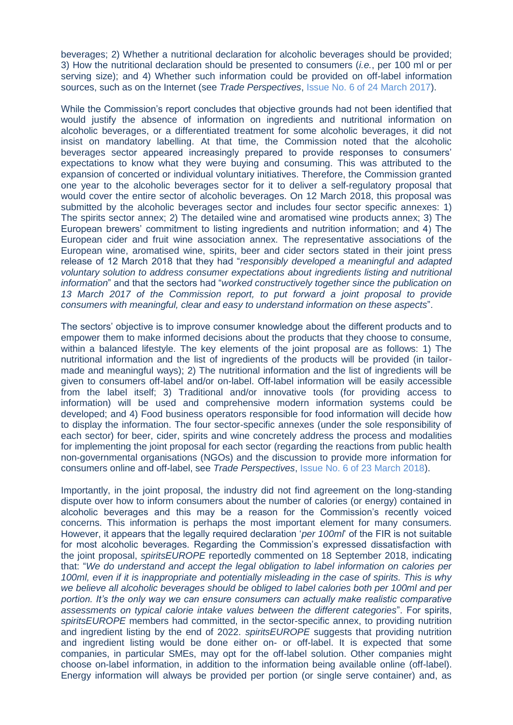beverages; 2) Whether a nutritional declaration for alcoholic beverages should be provided; 3) How the nutritional declaration should be presented to consumers (*i.e.*, per 100 ml or per serving size); and 4) Whether such information could be provided on off-label information sources, such as on the Internet (see *Trade Perspectives*, [Issue No. 6 of 24 March 2017\)](http://www.fratinivergano.eu/en/issue-number-6-24th-march-2017/#_The_European_Commission).

While the Commission's report concludes that objective grounds had not been identified that would justify the absence of information on ingredients and nutritional information on alcoholic beverages, or a differentiated treatment for some alcoholic beverages, it did not insist on mandatory labelling. At that time, the Commission noted that the alcoholic beverages sector appeared increasingly prepared to provide responses to consumers' expectations to know what they were buying and consuming. This was attributed to the expansion of concerted or individual voluntary initiatives. Therefore, the Commission granted one year to the alcoholic beverages sector for it to deliver a self-regulatory proposal that would cover the entire sector of alcoholic beverages. On 12 March 2018, this proposal was submitted by the alcoholic beverages sector and includes four sector specific annexes: 1) The spirits sector annex; 2) The detailed wine and aromatised wine products annex; 3) The European brewers' commitment to listing ingredients and nutrition information; and 4) The European cider and fruit wine association annex. The representative associations of the European wine, aromatised wine, spirits, beer and cider sectors stated in their joint press release of 12 March 2018 that they had "*responsibly developed a meaningful and adapted voluntary solution to address consumer expectations about ingredients listing and nutritional information*" and that the sectors had "*worked constructively together since the publication on 13 March 2017 of the Commission report, to put forward a joint proposal to provide consumers with meaningful, clear and easy to understand information on these aspects*".

The sectors' objective is to improve consumer knowledge about the different products and to empower them to make informed decisions about the products that they choose to consume, within a balanced lifestyle. The key elements of the joint proposal are as follows: 1) The nutritional information and the list of ingredients of the products will be provided (in tailormade and meaningful ways); 2) The nutritional information and the list of ingredients will be given to consumers off-label and/or on-label. Off-label information will be easily accessible from the label itself; 3) Traditional and/or innovative tools (for providing access to information) will be used and comprehensive modern information systems could be developed; and 4) Food business operators responsible for food information will decide how to display the information. The four sector-specific annexes (under the sole responsibility of each sector) for beer, cider, spirits and wine concretely address the process and modalities for implementing the joint proposal for each sector (regarding the reactions from public health non-governmental organisations (NGOs) and the discussion to provide more information for consumers online and off-label, see *Trade Perspectives*, [Issue No. 6 of 23 March 2018\)](http://www.fratinivergano.eu/en/issue-number-6-23rd-march-2018/#_The_alcoholic_beverages).

Importantly, in the joint proposal, the industry did not find agreement on the long-standing dispute over how to inform consumers about the number of calories (or energy) contained in alcoholic beverages and this may be a reason for the Commission's recently voiced concerns. This information is perhaps the most important element for many consumers. However, it appears that the legally required declaration '*per 100ml*' of the FIR is not suitable for most alcoholic beverages. Regarding the Commission's expressed dissatisfaction with the joint proposal, *spiritsEUROPE* reportedly commented on 18 September 2018, indicating that: "*We do understand and accept the legal obligation to label information on calories per 100ml, even if it is inappropriate and potentially misleading in the case of spirits. This is why we believe all alcoholic beverages should be obliged to label calories both per 100ml and per portion. It's the only way we can ensure consumers can actually make realistic comparative assessments on typical calorie intake values between the different categories*". For spirits, *spiritsEUROPE* members had committed, in the sector-specific annex, to providing nutrition and ingredient listing by the end of 2022. *spiritsEUROPE* suggests that providing nutrition and ingredient listing would be done either on- or off-label. It is expected that some companies, in particular SMEs, may opt for the off-label solution. Other companies might choose on-label information, in addition to the information being available online (off-label). Energy information will always be provided per portion (or single serve container) and, as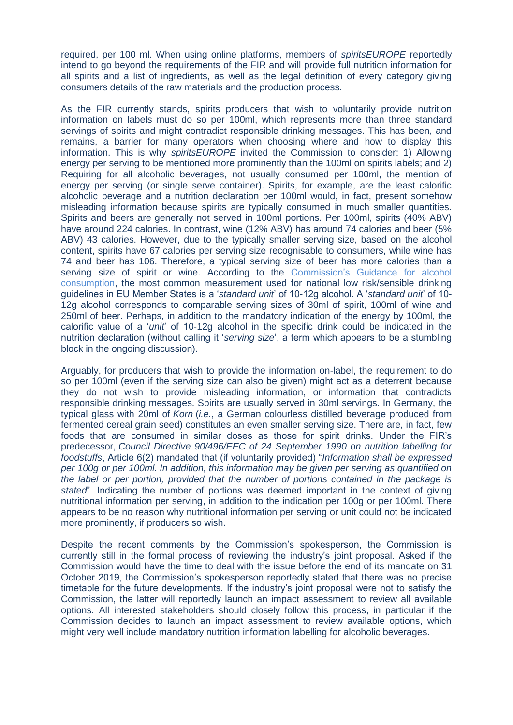required, per 100 ml. When using online platforms, members of *spiritsEUROPE* reportedly intend to go beyond the requirements of the FIR and will provide full nutrition information for all spirits and a list of ingredients, as well as the legal definition of every category giving consumers details of the raw materials and the production process.

As the FIR currently stands, spirits producers that wish to voluntarily provide nutrition information on labels must do so per 100ml, which represents more than three standard servings of spirits and might contradict responsible drinking messages. This has been, and remains, a barrier for many operators when choosing where and how to display this information. This is why *spiritsEUROPE* invited the Commission to consider: 1) Allowing energy per serving to be mentioned more prominently than the 100ml on spirits labels; and 2) Requiring for all alcoholic beverages, not usually consumed per 100ml, the mention of energy per serving (or single serve container). Spirits, for example, are the least calorific alcoholic beverage and a nutrition declaration per 100ml would, in fact, present somehow misleading information because spirits are typically consumed in much smaller quantities. Spirits and beers are generally not served in 100ml portions. Per 100ml, spirits (40% ABV) have around 224 calories. In contrast, wine (12% ABV) has around 74 calories and beer (5% ABV) 43 calories. However, due to the typically smaller serving size, based on the alcohol content, spirits have 67 calories per serving size recognisable to consumers, while wine has 74 and beer has 106. Therefore, a typical serving size of beer has more calories than a serving size of spirit or wine. According to the [Commission's Guidance for alcohol](https://ec.europa.eu/jrc/en/health-knowledge-gateway/promotion-prevention/alcohol#_Tocch5)  [consumption,](https://ec.europa.eu/jrc/en/health-knowledge-gateway/promotion-prevention/alcohol#_Tocch5) the most common measurement used for national low risk/sensible drinking guidelines in EU Member States is a '*standard unit*' of 10-12g alcohol. A '*standard unit*' of 10- 12g alcohol corresponds to comparable serving sizes of 30ml of spirit, 100ml of wine and 250ml of beer. Perhaps, in addition to the mandatory indication of the energy by 100ml, the calorific value of a '*unit*' of 10-12g alcohol in the specific drink could be indicated in the nutrition declaration (without calling it '*serving size*', a term which appears to be a stumbling block in the ongoing discussion).

Arguably, for producers that wish to provide the information on*-*label, the requirement to do so per 100ml (even if the serving size can also be given) might act as a deterrent because they do not wish to provide misleading information, or information that contradicts responsible drinking messages. Spirits are usually served in 30ml servings. In Germany, the typical glass with 20ml of *Korn* (*i.e.*, a German colourless distilled beverage produced from fermented cereal grain seed) constitutes an even smaller serving size. There are, in fact, few foods that are consumed in similar doses as those for spirit drinks. Under the FIR's predecessor, *Council Directive 90/496/EEC of 24 September 1990 on nutrition labelling for foodstuffs*, Article 6(2) mandated that (if voluntarily provided) "*Information shall be expressed per 100g or per 100ml. In addition, this information may be given per serving as quantified on the label or per portion, provided that the number of portions contained in the package is stated*". Indicating the number of portions was deemed important in the context of giving nutritional information per serving, in addition to the indication per 100g or per 100ml. There appears to be no reason why nutritional information per serving or unit could not be indicated more prominently, if producers so wish.

Despite the recent comments by the Commission's spokesperson, the Commission is currently still in the formal process of reviewing the industry's joint proposal. Asked if the Commission would have the time to deal with the issue before the end of its mandate on 31 October 2019, the Commission's spokesperson reportedly stated that there was no precise timetable for the future developments. If the industry's joint proposal were not to satisfy the Commission, the latter will reportedly launch an impact assessment to review all available options. All interested stakeholders should closely follow this process, in particular if the Commission decides to launch an impact assessment to review available options, which might very well include mandatory nutrition information labelling for alcoholic beverages.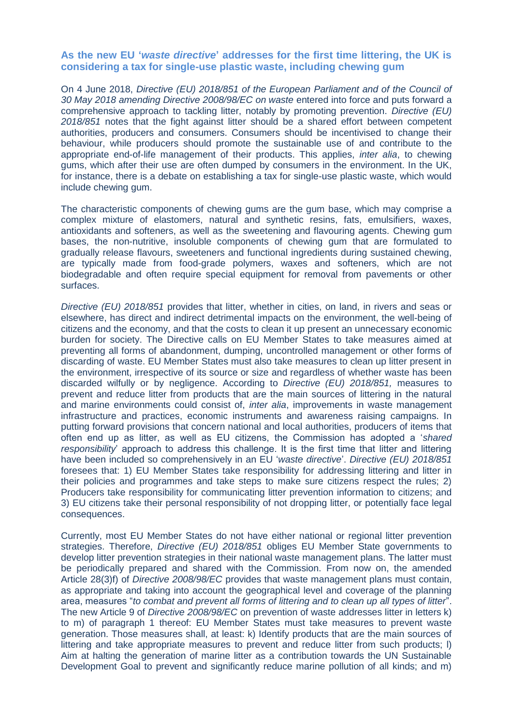### <span id="page-6-0"></span>**As the new EU '***waste directive***' addresses for the first time littering, the UK is considering a tax for single-use plastic waste, including chewing gum**

On 4 June 2018, *Directive (EU) 2018/851 of the European Parliament and of the Council of 30 May 2018 amending Directive 2008/98/EC on waste* entered into force and puts forward a comprehensive approach to tackling litter, notably by promoting prevention. *Directive (EU) 2018/851* notes that the fight against litter should be a shared effort between competent authorities, producers and consumers. Consumers should be incentivised to change their behaviour, while producers should promote the sustainable use of and contribute to the appropriate end-of-life management of their products. This applies, *inter alia*, to chewing gums, which after their use are often dumped by consumers in the environment. In the UK, for instance, there is a debate on establishing a tax for single-use plastic waste, which would include chewing gum.

The characteristic components of chewing gums are the gum base, which may comprise a complex mixture of elastomers, natural and synthetic resins, fats, emulsifiers, waxes, antioxidants and softeners, as well as the sweetening and flavouring agents. Chewing gum bases, the non-nutritive, insoluble components of chewing gum that are formulated to gradually release flavours, sweeteners and functional ingredients during sustained chewing, are typically made from food-grade polymers, waxes and softeners, which are not biodegradable and often require special equipment for removal from pavements or other surfaces.

*Directive (EU) 2018/851* provides that litter, whether in cities, on land, in rivers and seas or elsewhere, has direct and indirect detrimental impacts on the environment, the well-being of citizens and the economy, and that the costs to clean it up present an unnecessary economic burden for society. The Directive calls on EU Member States to take measures aimed at preventing all forms of abandonment, dumping, uncontrolled management or other forms of discarding of waste. EU Member States must also take measures to clean up litter present in the environment, irrespective of its source or size and regardless of whether waste has been discarded wilfully or by negligence. According to *Directive (EU) 2018/851,* measures to prevent and reduce litter from products that are the main sources of littering in the natural and marine environments could consist of, *inter alia*, improvements in waste management infrastructure and practices, economic instruments and awareness raising campaigns. In putting forward provisions that concern national and local authorities, producers of items that often end up as litter, as well as EU citizens, the Commission has adopted a '*shared responsibility*' approach to address this challenge. It is the first time that litter and littering have been included so comprehensively in an EU '*waste directive*'. *Directive (EU) 2018/851* foresees that: 1) EU Member States take responsibility for addressing littering and litter in their policies and programmes and take steps to make sure citizens respect the rules; 2) Producers take responsibility for communicating litter prevention information to citizens; and 3) EU citizens take their personal responsibility of not dropping litter, or potentially face legal consequences.

Currently, most EU Member States do not have either national or regional litter prevention strategies. Therefore, *Directive (EU) 2018/851* obliges EU Member State governments to develop litter prevention strategies in their national waste management plans. The latter must be periodically prepared and shared with the Commission. From now on, the amended Article 28(3)f) of *Directive 2008/98/EC* provides that waste management plans must contain, as appropriate and taking into account the geographical level and coverage of the planning area, measures "*to combat and prevent all forms of littering and to clean up all types of litter*". The new Article 9 of *Directive 2008/98/EC* on prevention of waste addresses litter in letters k) to m) of paragraph 1 thereof: EU Member States must take measures to prevent waste generation. Those measures shall, at least: k) Identify products that are the main sources of littering and take appropriate measures to prevent and reduce litter from such products; l) Aim at halting the generation of marine litter as a contribution towards the UN Sustainable Development Goal to prevent and significantly reduce marine pollution of all kinds; and m)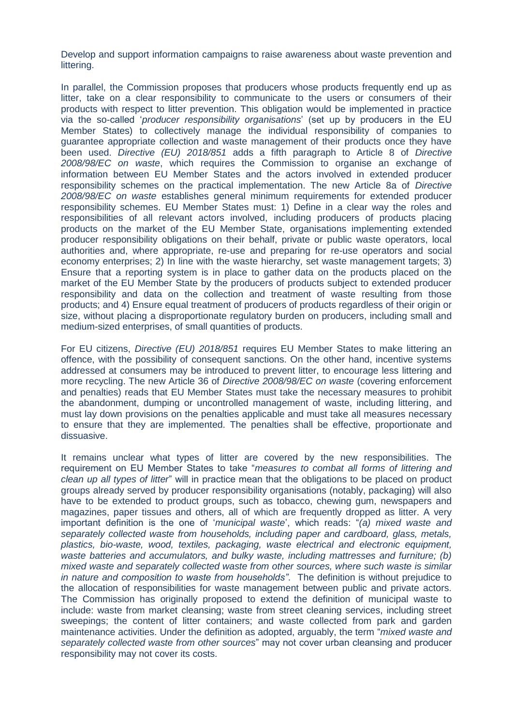Develop and support information campaigns to raise awareness about waste prevention and littering.

In parallel, the Commission proposes that producers whose products frequently end up as litter, take on a clear responsibility to communicate to the users or consumers of their products with respect to litter prevention. This obligation would be implemented in practice via the so-called '*producer responsibility organisations*' (set up by producers in the EU Member States) to collectively manage the individual responsibility of companies to guarantee appropriate collection and waste management of their products once they have been used. *Directive (EU) 2018/851* adds a fifth paragraph to Article 8 of *Directive 2008/98/EC on waste*, which requires the Commission to organise an exchange of information between EU Member States and the actors involved in extended producer responsibility schemes on the practical implementation. The new Article 8a of *Directive 2008/98/EC on waste* establishes general minimum requirements for extended producer responsibility schemes. EU Member States must: 1) Define in a clear way the roles and responsibilities of all relevant actors involved, including producers of products placing products on the market of the EU Member State, organisations implementing extended producer responsibility obligations on their behalf, private or public waste operators, local authorities and, where appropriate, re-use and preparing for re-use operators and social economy enterprises; 2) In line with the waste hierarchy, set waste management targets; 3) Ensure that a reporting system is in place to gather data on the products placed on the market of the EU Member State by the producers of products subject to extended producer responsibility and data on the collection and treatment of waste resulting from those products; and 4) Ensure equal treatment of producers of products regardless of their origin or size, without placing a disproportionate regulatory burden on producers, including small and medium-sized enterprises, of small quantities of products.

For EU citizens, *Directive (EU) 2018/851* requires EU Member States to make littering an offence, with the possibility of consequent sanctions. On the other hand, incentive systems addressed at consumers may be introduced to prevent litter, to encourage less littering and more recycling. The new Article 36 of *Directive 2008/98/EC on waste* (covering enforcement and penalties) reads that EU Member States must take the necessary measures to prohibit the abandonment, dumping or uncontrolled management of waste, including littering, and must lay down provisions on the penalties applicable and must take all measures necessary to ensure that they are implemented. The penalties shall be effective, proportionate and dissuasive.

It remains unclear what types of litter are covered by the new responsibilities. The requirement on EU Member States to take "*measures to combat all forms of littering and clean up all types of litter*" will in practice mean that the obligations to be placed on product groups already served by producer responsibility organisations (notably, packaging) will also have to be extended to product groups, such as tobacco, chewing gum, newspapers and magazines, paper tissues and others, all of which are frequently dropped as litter. A very important definition is the one of '*municipal waste*', which reads: "*(a) mixed waste and separately collected waste from households, including paper and cardboard, glass, metals, plastics, bio-waste, wood, textiles, packaging, waste electrical and electronic equipment, waste batteries and accumulators, and bulky waste, including mattresses and furniture; (b) mixed waste and separately collected waste from other sources, where such waste is similar in nature and composition to waste from households"*. The definition is without prejudice to the allocation of responsibilities for waste management between public and private actors. The Commission has originally proposed to extend the definition of municipal waste to include: waste from market cleansing; waste from street cleaning services, including street sweepings; the content of litter containers; and waste collected from park and garden maintenance activities. Under the definition as adopted, arguably, the term "*mixed waste and separately collected waste from other sources*" may not cover urban cleansing and producer responsibility may not cover its costs.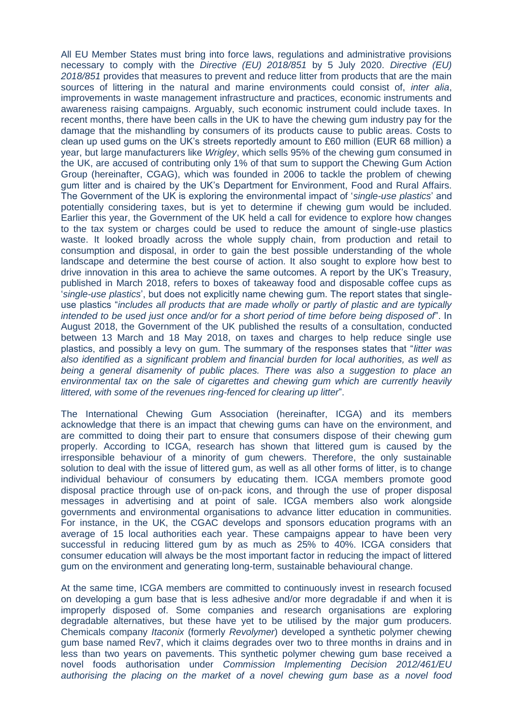All EU Member States must bring into force laws, regulations and administrative provisions necessary to comply with the *Directive (EU) 2018/851* by 5 July 2020. *Directive (EU) 2018/851* provides that measures to prevent and reduce litter from products that are the main sources of littering in the natural and marine environments could consist of, *inter alia*, improvements in waste management infrastructure and practices, economic instruments and awareness raising campaigns. Arguably, such economic instrument could include taxes. In recent months, there have been calls in the UK to have the chewing gum industry pay for the damage that the mishandling by consumers of its products cause to public areas. Costs to clean up used gums on the UK's streets reportedly amount to £60 million (EUR 68 million) a year, but large manufacturers like *Wrigley*, which sells 95% of the chewing gum consumed in the UK, are accused of contributing only 1% of that sum to support the Chewing Gum Action Group (hereinafter, CGAG), which was founded in 2006 to tackle the problem of chewing gum litter and is chaired by the UK's Department for Environment, Food and Rural Affairs. The Government of the UK is exploring the environmental impact of '*single-use plastics*' and potentially considering taxes, but is yet to determine if chewing gum would be included. Earlier this year, the Government of the UK held a call for evidence to explore how changes to the tax system or charges could be used to reduce the amount of single-use plastics waste. It looked broadly across the whole supply chain, from production and retail to consumption and disposal, in order to gain the best possible understanding of the whole landscape and determine the best course of action. It also sought to explore how best to drive innovation in this area to achieve the same outcomes. A report by the UK's Treasury, published in March 2018, refers to boxes of takeaway food and disposable coffee cups as '*single-use plastics*', but does not explicitly name chewing gum. The report states that singleuse plastics "*includes all products that are made wholly or partly of plastic and are typically intended to be used just once and/or for a short period of time before being disposed of*". In August 2018, the Government of the UK published the results of a consultation, conducted between 13 March and 18 May 2018, on taxes and charges to help reduce single use plastics, and possibly a levy on gum. The summary of the responses states that "*litter was also identified as a significant problem and financial burden for local authorities, as well as*  being a general disamenity of public places. There was also a suggestion to place an *environmental tax on the sale of cigarettes and chewing gum which are currently heavily littered, with some of the revenues ring-fenced for clearing up litter*".

The International Chewing Gum Association (hereinafter, ICGA) and its members acknowledge that there is an impact that chewing gums can have on the environment, and are committed to doing their part to ensure that consumers dispose of their chewing gum properly. According to ICGA, research has shown that littered gum is caused by the irresponsible behaviour of a minority of gum chewers. Therefore, the only sustainable solution to deal with the issue of littered gum, as well as all other forms of litter, is to change individual behaviour of consumers by educating them. ICGA members promote good disposal practice through use of on-pack icons, and through the use of proper disposal messages in advertising and at point of sale. ICGA members also work alongside governments and environmental organisations to advance litter education in communities. For instance, in the UK, the CGAC develops and sponsors education programs with an average of 15 local authorities each year. These campaigns appear to have been very successful in reducing littered gum by as much as 25% to 40%. ICGA considers that consumer education will always be the most important factor in reducing the impact of littered gum on the environment and generating long-term, sustainable behavioural change.

At the same time, ICGA members are committed to continuously invest in research focused on developing a gum base that is less adhesive and/or more degradable if and when it is improperly disposed of. Some companies and research organisations are exploring degradable alternatives, but these have yet to be utilised by the major gum producers. Chemicals company *Itaconix* (formerly *Revolymer*) developed a synthetic polymer chewing gum base named Rev7, which it claims degrades over two to three months in drains and in less than two years on pavements. This synthetic polymer chewing gum base received a novel foods authorisation under *Commission Implementing Decision 2012/461/EU authorising the placing on the market of a novel chewing gum base as a novel food*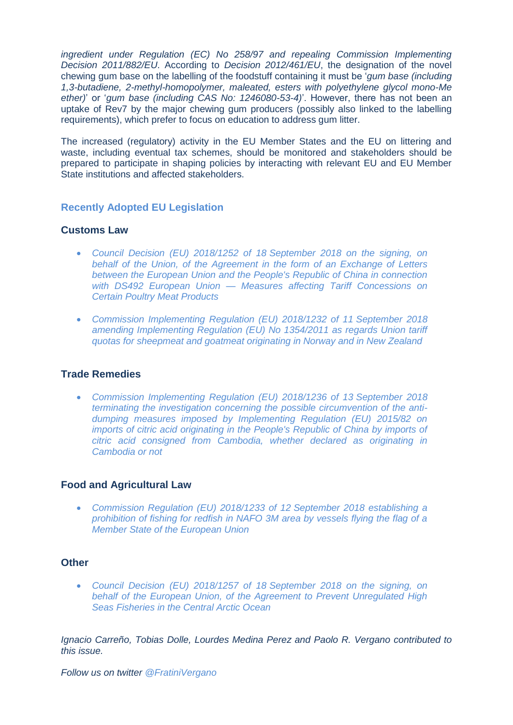*ingredient under Regulation (EC) No 258/97 and repealing Commission Implementing Decision 2011/882/EU*. According to *Decision 2012/461/EU*, the designation of the novel chewing gum base on the labelling of the foodstuff containing it must be '*gum base (including 1,3-butadiene, 2-methyl-homopolymer, maleated, esters with polyethylene glycol mono-Me ether)*' or '*gum base (including CAS No: 1246080-53-4)*'. However, there has not been an uptake of Rev7 by the major chewing gum producers (possibly also linked to the labelling requirements), which prefer to focus on education to address gum litter.

The increased (regulatory) activity in the EU Member States and the EU on littering and waste, including eventual tax schemes, should be monitored and stakeholders should be prepared to participate in shaping policies by interacting with relevant EU and EU Member State institutions and affected stakeholders.

# <span id="page-9-0"></span>**Recently Adopted EU Legislation**

# **Customs Law**

- *[Council Decision \(EU\) 2018/1252 of 18](https://eur-lex.europa.eu/legal-content/EN/AUTO/?uri=uriserv:OJ.L_.2018.237.01.0002.01.ENG&toc=OJ:L:2018:237:TOC) September 2018 on the signing, on [behalf of the Union, of the Agreement in the form of an Exchange of Letters](https://eur-lex.europa.eu/legal-content/EN/AUTO/?uri=uriserv:OJ.L_.2018.237.01.0002.01.ENG&toc=OJ:L:2018:237:TOC)  [between the European Union and the People's Republic of China in connection](https://eur-lex.europa.eu/legal-content/EN/AUTO/?uri=uriserv:OJ.L_.2018.237.01.0002.01.ENG&toc=OJ:L:2018:237:TOC)  with DS492 European Union — [Measures affecting Tariff Concessions on](https://eur-lex.europa.eu/legal-content/EN/AUTO/?uri=uriserv:OJ.L_.2018.237.01.0002.01.ENG&toc=OJ:L:2018:237:TOC)  [Certain Poultry Meat Products](https://eur-lex.europa.eu/legal-content/EN/AUTO/?uri=uriserv:OJ.L_.2018.237.01.0002.01.ENG&toc=OJ:L:2018:237:TOC)*
- *[Commission Implementing Regulation \(EU\) 2018/1232 of 11](https://eur-lex.europa.eu/legal-content/EN/AUTO/?uri=uriserv:OJ.L_.2018.231.01.0013.01.ENG&toc=OJ:L:2018:231:TOC) September 2018 [amending Implementing Regulation \(EU\) No 1354/2011 as regards Union tariff](https://eur-lex.europa.eu/legal-content/EN/AUTO/?uri=uriserv:OJ.L_.2018.231.01.0013.01.ENG&toc=OJ:L:2018:231:TOC)  [quotas for sheepmeat and goatmeat originating in Norway and in New Zealand](https://eur-lex.europa.eu/legal-content/EN/AUTO/?uri=uriserv:OJ.L_.2018.231.01.0013.01.ENG&toc=OJ:L:2018:231:TOC)*

# **Trade Remedies**

• *[Commission Implementing Regulation \(EU\) 2018/1236 of 13](https://eur-lex.europa.eu/legal-content/EN/AUTO/?uri=uriserv:OJ.L_.2018.231.01.0020.01.ENG&toc=OJ:L:2018:231:TOC) September 2018 [terminating the investigation concerning the possible circumvention of the anti](https://eur-lex.europa.eu/legal-content/EN/AUTO/?uri=uriserv:OJ.L_.2018.231.01.0020.01.ENG&toc=OJ:L:2018:231:TOC)[dumping measures imposed by Implementing Regulation \(EU\) 2015/82 on](https://eur-lex.europa.eu/legal-content/EN/AUTO/?uri=uriserv:OJ.L_.2018.231.01.0020.01.ENG&toc=OJ:L:2018:231:TOC)  imports of citric acid originating in the People's Republic of China by imports of [citric acid consigned from Cambodia, whether declared as originating in](https://eur-lex.europa.eu/legal-content/EN/AUTO/?uri=uriserv:OJ.L_.2018.231.01.0020.01.ENG&toc=OJ:L:2018:231:TOC)  [Cambodia or not](https://eur-lex.europa.eu/legal-content/EN/AUTO/?uri=uriserv:OJ.L_.2018.231.01.0020.01.ENG&toc=OJ:L:2018:231:TOC)*

# **Food and Agricultural Law**

• *[Commission Regulation \(EU\) 2018/1233 of 12](https://eur-lex.europa.eu/legal-content/EN/AUTO/?uri=uriserv:OJ.L_.2018.231.01.0016.01.ENG&toc=OJ:L:2018:231:TOC) September 2018 establishing a [prohibition of fishing for redfish in NAFO 3M area by vessels flying the flag of a](https://eur-lex.europa.eu/legal-content/EN/AUTO/?uri=uriserv:OJ.L_.2018.231.01.0016.01.ENG&toc=OJ:L:2018:231:TOC)  [Member State of the European Union](https://eur-lex.europa.eu/legal-content/EN/AUTO/?uri=uriserv:OJ.L_.2018.231.01.0016.01.ENG&toc=OJ:L:2018:231:TOC)*

# **Other**

• *[Council Decision \(EU\) 2018/1257 of 18](https://eur-lex.europa.eu/legal-content/EN/AUTO/?uri=uriserv:OJ.L_.2018.238.01.0001.01.ENG&toc=OJ:L:2018:238:TOC) September 2018 on the signing, on [behalf of the European Union, of the Agreement to Prevent Unregulated High](https://eur-lex.europa.eu/legal-content/EN/AUTO/?uri=uriserv:OJ.L_.2018.238.01.0001.01.ENG&toc=OJ:L:2018:238:TOC)  [Seas Fisheries in the Central Arctic Ocean](https://eur-lex.europa.eu/legal-content/EN/AUTO/?uri=uriserv:OJ.L_.2018.238.01.0001.01.ENG&toc=OJ:L:2018:238:TOC)*

*Ignacio Carreño, Tobias Dolle, Lourdes Medina Perez and Paolo R. Vergano contributed to this issue.*

*Follow us on twitter [@FratiniVergano](https://twitter.com/FratiniVergano)*